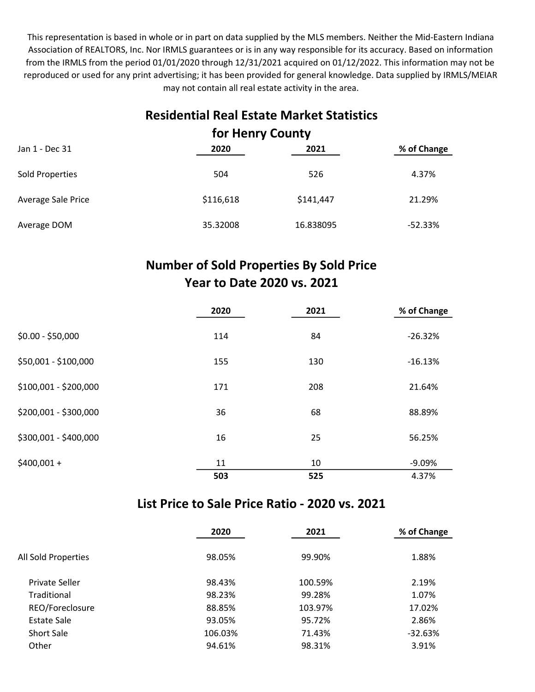This representation is based in whole or in part on data supplied by the MLS members. Neither the Mid-Eastern Indiana Association of REALTORS, Inc. Nor IRMLS guarantees or is in any way responsible for its accuracy. Based on information from the IRMLS from the period 01/01/2020 through 12/31/2021 acquired on 01/12/2022. This information may not be reproduced or used for any print advertising; it has been provided for general knowledge. Data supplied by IRMLS/MEIAR may not contain all real estate activity in the area.

## Residential Real Estate Market Statistics for Henry County

| Jan 1 - Dec 31     | 2020      | 2021      | % of Change |  |  |
|--------------------|-----------|-----------|-------------|--|--|
| Sold Properties    | 504       | 526       | 4.37%       |  |  |
| Average Sale Price | \$116,618 | \$141,447 | 21.29%      |  |  |
| Average DOM        | 35.32008  | 16.838095 | $-52.33%$   |  |  |

## Number of Sold Properties By Sold Price Year to Date 2020 vs. 2021

|                       | 2020 | 2021 | % of Change |
|-----------------------|------|------|-------------|
| $$0.00 - $50,000$     | 114  | 84   | $-26.32%$   |
| \$50,001 - \$100,000  | 155  | 130  | $-16.13%$   |
| \$100,001 - \$200,000 | 171  | 208  | 21.64%      |
| \$200,001 - \$300,000 | 36   | 68   | 88.89%      |
| \$300,001 - \$400,000 | 16   | 25   | 56.25%      |
| $$400,001 +$          | 11   | 10   | $-9.09%$    |
|                       | 503  | 525  | 4.37%       |

#### List Price to Sale Price Ratio - 2020 vs. 2021

|                     | 2020    | 2021    | % of Change |
|---------------------|---------|---------|-------------|
| All Sold Properties | 98.05%  | 99.90%  | 1.88%       |
| Private Seller      | 98.43%  | 100.59% | 2.19%       |
| Traditional         | 98.23%  | 99.28%  | 1.07%       |
| REO/Foreclosure     | 88.85%  | 103.97% | 17.02%      |
| Estate Sale         | 93.05%  | 95.72%  | 2.86%       |
| <b>Short Sale</b>   | 106.03% | 71.43%  | $-32.63%$   |
| Other               | 94.61%  | 98.31%  | 3.91%       |
|                     |         |         |             |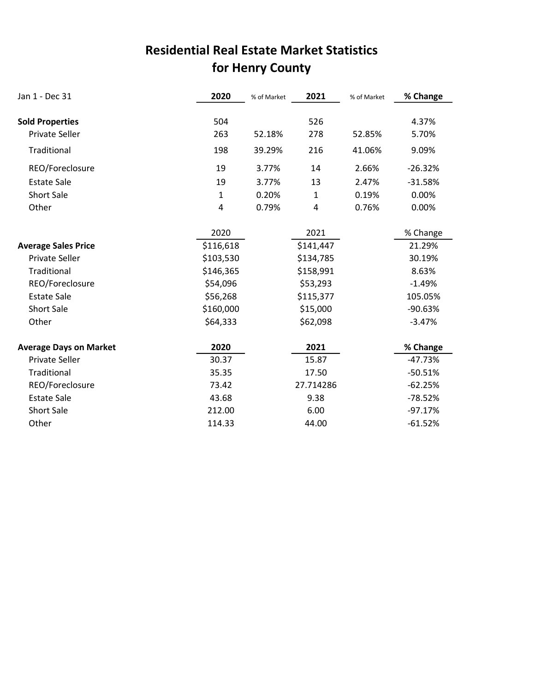## for Henry County Residential Real Estate Market Statistics

| Jan 1 - Dec 31                | 2020         | % of Market | 2021         | % of Market | % Change  |
|-------------------------------|--------------|-------------|--------------|-------------|-----------|
|                               |              |             |              |             |           |
| <b>Sold Properties</b>        | 504          |             | 526          |             | 4.37%     |
| <b>Private Seller</b>         | 263          | 52.18%      | 278          | 52.85%      | 5.70%     |
| Traditional                   | 198          | 39.29%      | 216          | 41.06%      | 9.09%     |
| REO/Foreclosure               | 19           | 3.77%       | 14           | 2.66%       | $-26.32%$ |
| <b>Estate Sale</b>            | 19           | 3.77%       | 13           | 2.47%       | $-31.58%$ |
| <b>Short Sale</b>             | $\mathbf{1}$ | 0.20%       | $\mathbf{1}$ | 0.19%       | 0.00%     |
| Other                         | 4            | 0.79%       | 4            | 0.76%       | 0.00%     |
|                               |              |             |              |             |           |
|                               | 2020         |             | 2021         |             | % Change  |
| <b>Average Sales Price</b>    | \$116,618    |             | \$141,447    |             | 21.29%    |
| <b>Private Seller</b>         | \$103,530    |             | \$134,785    |             | 30.19%    |
| Traditional                   | \$146,365    |             | \$158,991    |             | 8.63%     |
| REO/Foreclosure               | \$54,096     |             | \$53,293     |             | $-1.49%$  |
| <b>Estate Sale</b>            | \$56,268     |             | \$115,377    |             | 105.05%   |
| <b>Short Sale</b>             | \$160,000    |             | \$15,000     |             | $-90.63%$ |
| Other                         | \$64,333     |             | \$62,098     |             | $-3.47%$  |
| <b>Average Days on Market</b> | 2020         |             | 2021         |             | % Change  |
| <b>Private Seller</b>         | 30.37        |             | 15.87        |             | $-47.73%$ |
| Traditional                   | 35.35        |             | 17.50        |             | $-50.51%$ |
| REO/Foreclosure               | 73.42        |             | 27.714286    |             | $-62.25%$ |
| <b>Estate Sale</b>            | 43.68        |             | 9.38         |             | $-78.52%$ |
| <b>Short Sale</b>             | 212.00       |             | 6.00         |             | $-97.17%$ |
| Other                         | 114.33       |             | 44.00        |             | $-61.52%$ |